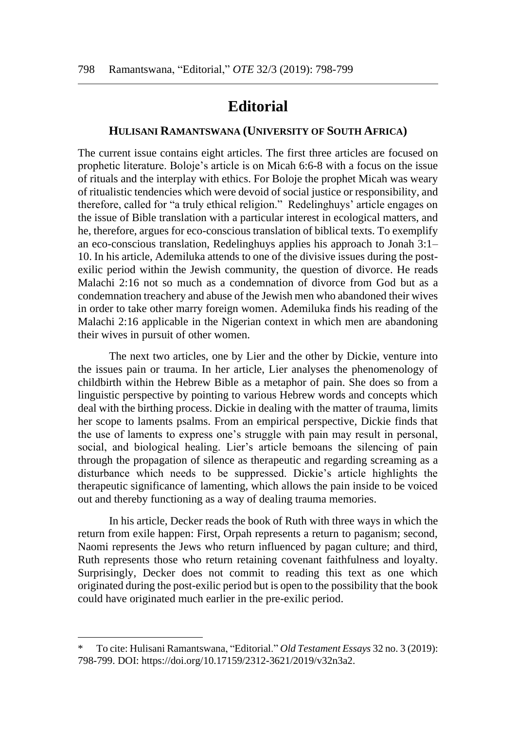## **Editorial**

## **HULISANI RAMANTSWANA (UNIVERSITY OF SOUTH AFRICA)**

The current issue contains eight articles. The first three articles are focused on prophetic literature. Boloje's article is on Micah 6:6-8 with a focus on the issue of rituals and the interplay with ethics. For Boloje the prophet Micah was weary of ritualistic tendencies which were devoid of social justice or responsibility, and therefore, called for "a truly ethical religion." Redelinghuys' article engages on the issue of Bible translation with a particular interest in ecological matters, and he, therefore, argues for eco-conscious translation of biblical texts. To exemplify an eco-conscious translation, Redelinghuys applies his approach to Jonah 3:1– 10. In his article, Ademiluka attends to one of the divisive issues during the postexilic period within the Jewish community, the question of divorce. He reads Malachi 2:16 not so much as a condemnation of divorce from God but as a condemnation treachery and abuse of the Jewish men who abandoned their wives in order to take other marry foreign women. Ademiluka finds his reading of the Malachi 2:16 applicable in the Nigerian context in which men are abandoning their wives in pursuit of other women.

The next two articles, one by Lier and the other by Dickie, venture into the issues pain or trauma. In her article, Lier analyses the phenomenology of childbirth within the Hebrew Bible as a metaphor of pain. She does so from a linguistic perspective by pointing to various Hebrew words and concepts which deal with the birthing process. Dickie in dealing with the matter of trauma, limits her scope to laments psalms. From an empirical perspective, Dickie finds that the use of laments to express one's struggle with pain may result in personal, social, and biological healing. Lier's article bemoans the silencing of pain through the propagation of silence as therapeutic and regarding screaming as a disturbance which needs to be suppressed. Dickie's article highlights the therapeutic significance of lamenting, which allows the pain inside to be voiced out and thereby functioning as a way of dealing trauma memories.

In his article, Decker reads the book of Ruth with three ways in which the return from exile happen: First, Orpah represents a return to paganism; second, Naomi represents the Jews who return influenced by pagan culture; and third, Ruth represents those who return retaining covenant faithfulness and loyalty. Surprisingly, Decker does not commit to reading this text as one which originated during the post-exilic period but is open to the possibility that the book could have originated much earlier in the pre-exilic period.

<sup>\*</sup> To cite: Hulisani Ramantswana, "Editorial." *Old Testament Essays* 32 no. 3 (2019): 798-799. DOI: https://doi.org/10.17159/2312-3621/2019/v32n3a2.